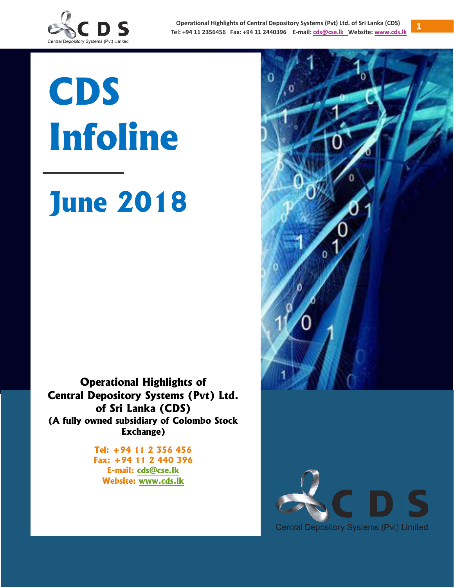

# **CDS Infoline**

# **June 2018**

**Operational Highlights of Central Depository Systems (Pvt) Ltd. of Sri Lanka (CDS) (A fully owned subsidiary of Colombo Stock Exchange)**

> **Tel: +94 11 2 356 456 Fax: +94 11 2 440 396 E-mail: [cds@cse.lk](mailto:cds@cse.lk) Website: [www.cds.lk](http://www.cds.lk/)**



**1**

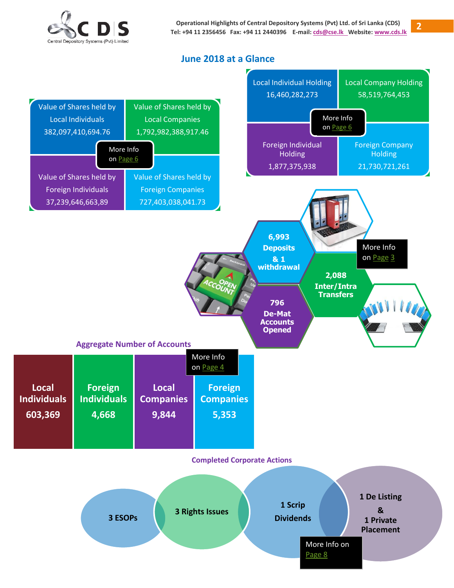

### **June 2018 at a Glance**

<span id="page-1-0"></span>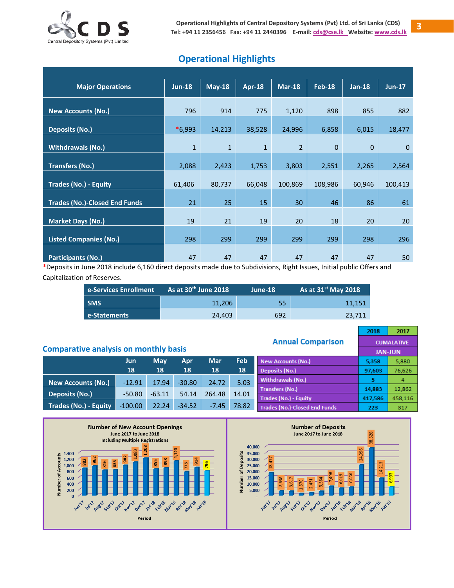

# **Operational Highlights**

| <b>Major Operations</b>              | <b>Jun-18</b> | $May-18$     | <b>Apr-18</b> | <b>Mar-18</b>  | <b>Feb-18</b>  | $Jan-18$     | $Jun-17$     |
|--------------------------------------|---------------|--------------|---------------|----------------|----------------|--------------|--------------|
| <b>New Accounts (No.)</b>            | 796           | 914          | 775           | 1,120          | 898            | 855          | 882          |
| <b>Deposits (No.)</b>                | $*6,993$      | 14,213       | 38,528        | 24,996         | 6,858          | 6,015        | 18,477       |
| <b>Withdrawals (No.)</b>             | $1\,$         | $\mathbf{1}$ | $1\,$         | $\overline{2}$ | $\overline{0}$ | $\mathbf{0}$ | $\mathbf{0}$ |
| <b>Transfers (No.)</b>               | 2,088         | 2,423        | 1,753         | 3,803          | 2,551          | 2,265        | 2,564        |
| <b>Trades (No.) - Equity</b>         | 61,406        | 80,737       | 66,048        | 100,869        | 108,986        | 60,946       | 100,413      |
| <b>Trades (No.)-Closed End Funds</b> | 21            | 25           | 15            | 30             | 46             | 86           | 61           |
| <b>Market Days (No.)</b>             | 19            | 21           | 19            | 20             | 18             | 20           | 20           |
| <b>Listed Companies (No.)</b>        | 298           | 299          | 299           | 299            | 299            | 298          | 296          |
| <b>Participants (No.)</b>            | 47            | 47           | 47            | 47             | 47             | 47           | 50           |

\*Deposits in June 2018 include 6,160 direct deposits made due to Subdivisions, Right Issues, Initial public Offers and Capitalization of Reserves.

| e-Services Enrollment | As at 30 <sup>th</sup> June 2018 | June-18 | As at $31st$ May 2018 |
|-----------------------|----------------------------------|---------|-----------------------|
| <b>SMS</b>            | 11.206                           | 55      | 11.151                |
| e-Statements          | 24.403                           | 692     | 23,711                |

|                                              |           |            |          |            |       | <b>Annual Comparison</b>             | 2018           | 2017<br><b>CUMALATIVE</b> |
|----------------------------------------------|-----------|------------|----------|------------|-------|--------------------------------------|----------------|---------------------------|
| <b>Comparative analysis on monthly basis</b> |           |            |          |            |       |                                      | <b>JAN-JUN</b> |                           |
|                                              | Jun.      | <b>May</b> | Apr      | <b>Mar</b> | Feb   | New Accounts (No.)                   | 5,358          | 5,880                     |
|                                              | 18        | 18         | 18       | 18         | 18    | Deposits (No.)                       | 97,603         | 76,626                    |
| New Accounts (No.)                           | $-12.91$  | 17.94      | $-30.80$ | 24.72      | 5.03  | <b>Withdrawals (No.)</b>             | 5              | 4                         |
|                                              |           |            |          |            |       | <b>Transfers (No.)</b>               | 14,883         | 12,862                    |
| Deposits (No.)                               | $-50.80$  | $-63.11$   | 54.14    | 264.48     | 14.01 | Trades (No.) - Equity                | 417,586        | 458,116                   |
| <b>Trades (No.) - Equity</b>                 | $-100.00$ | 22.24      | $-34.52$ | $-7.45$    | 78.82 | <b>Trades (No.)-Closed End Funds</b> | 223            | 317                       |



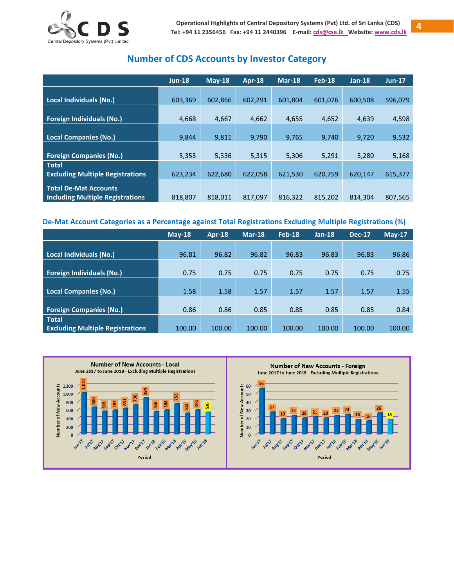

# **Number of CDS Accounts by Investor Category**

<span id="page-3-0"></span>

|                                         | $Jun-18$ | $Mav-18$ | Apr-18  | $Mar-18$ | <b>Feb-18</b> | $Jan-18$ | $Jun-17$ |
|-----------------------------------------|----------|----------|---------|----------|---------------|----------|----------|
|                                         |          |          |         |          |               |          |          |
| Local Individuals (No.)                 | 603,369  | 602,866  | 602,291 | 601,804  | 601,076       | 600,508  | 596,079  |
|                                         |          |          |         |          |               |          |          |
| <b>Foreign Individuals (No.)</b>        | 4,668    | 4,667    | 4,662   | 4,655    | 4,652         | 4,639    | 4,598    |
|                                         |          |          |         |          |               |          |          |
| <b>Local Companies (No.)</b>            | 9,844    | 9,811    | 9.790   | 9,765    | 9.740         | 9,720    | 9,532    |
|                                         |          |          |         |          |               |          |          |
| <b>Foreign Companies (No.)</b>          | 5,353    | 5,336    | 5,315   | 5,306    | 5,291         | 5,280    | 5,168    |
| <b>Total</b>                            |          |          |         |          |               |          |          |
| <b>Excluding Multiple Registrations</b> | 623,234  | 622,680  | 622,058 | 621,530  | 620,759       | 620,147  | 615,377  |
| <b>Total De-Mat Accounts</b>            |          |          |         |          |               |          |          |
|                                         |          |          |         |          |               |          |          |
| <b>Including Multiple Registrations</b> | 818,807  | 818.011  | 817.097 | 816.322  | 815.202       | 814.304  | 807,565  |

#### **De-Mat Account Categories as a Percentage against Total Registrations Excluding Multiple Registrations (%)**

|                                         | $M$ ay-18 | Apr-18 | $Mar-18$ | Feb-18 | $Jan-18$ | <b>Dec-17</b> | $May-17$ |
|-----------------------------------------|-----------|--------|----------|--------|----------|---------------|----------|
|                                         |           |        |          |        |          |               |          |
| Local Individuals (No.)                 | 96.81     | 96.82  | 96.82    | 96.83  | 96.83    | 96.83         | 96.86    |
|                                         |           |        |          |        |          |               |          |
| <b>Foreign Individuals (No.)</b>        | 0.75      | 0.75   | 0.75     | 0.75   | 0.75     | 0.75          | 0.75     |
|                                         |           |        |          |        |          |               |          |
| <b>Local Companies (No.)</b>            | 1.58      | 1.58   | 1.57     | 1.57   | 1.57     | 1.57          | 1.55     |
|                                         |           |        |          |        |          |               |          |
| <b>Foreign Companies (No.)</b>          | 0.86      | 0.86   | 0.85     | 0.85   | 0.85     | 0.85          | 0.84     |
| <b>Total</b>                            |           |        |          |        |          |               |          |
| <b>Excluding Multiple Registrations</b> | 100.00    | 100.00 | 100.00   | 100.00 | 100.00   | 100.00        | 100.00   |

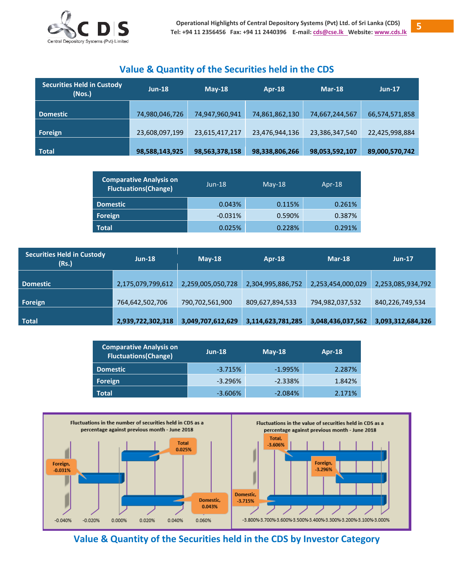

## **Value & Quantity of the Securities held in the CDS**

| <b>Securities Held in Custody</b><br>(Nos.) | $Jun-18$       | $M$ ay-18      | <b>Apr-18</b>  | $Mar-18$       | <b>Jun-17</b>  |
|---------------------------------------------|----------------|----------------|----------------|----------------|----------------|
| <b>Domestic</b>                             | 74,980,046,726 | 74,947,960,941 | 74,861,862,130 | 74,667,244,567 | 66,574,571,858 |
| Foreign                                     | 23,608,097,199 | 23,615,417,217 | 23,476,944,136 | 23,386,347,540 | 22,425,998,884 |
| <b>Total</b>                                | 98,588,143,925 | 98,563,378,158 | 98,338,806,266 | 98,053,592,107 | 89,000,570,742 |

| <b>Comparative Analysis on</b><br><b>Fluctuations(Change)</b> | $Jun-18$  | $Mav-18$ | Apr- $18$ |
|---------------------------------------------------------------|-----------|----------|-----------|
| <b>Domestic</b>                                               | 0.043%    | 0.115%   | 0.261%    |
| Foreign                                                       | $-0.031%$ | 0.590%   | 0.387%    |
| <b>Total</b>                                                  | 0.025%    | 0.228%   | 0.291%    |

| <b>Securities Held in Custody</b><br>(Rs.) | $Jun-18$          | $May-18$          | Apr-18            | Mar-18            | $Jun-17$          |
|--------------------------------------------|-------------------|-------------------|-------------------|-------------------|-------------------|
| <b>Domestic</b>                            | 2,175,079,799,612 | 2,259,005,050,728 | 2,304,995,886,752 | 2,253,454,000,029 | 2,253,085,934,792 |
| Foreign                                    | 764,642,502,706   | 790,702,561,900   | 809,627,894,533   | 794,982,037,532   | 840,226,749,534   |
| <b>Total</b>                               | 2,939,722,302,318 | 3,049,707,612,629 | 3,114,623,781,285 | 3,048,436,037,562 | 3,093,312,684,326 |

| <b>Comparative Analysis on</b><br><b>Fluctuations(Change)</b> | $Jun-18$   | $M$ ay-18 | Apr-18 |  |
|---------------------------------------------------------------|------------|-----------|--------|--|
| <b>Domestic</b>                                               | $-3.715%$  | $-1.995%$ | 2.287% |  |
| Foreign                                                       | $-3.296%$  | $-2.338%$ | 1.842% |  |
| Total                                                         | $-3.606\%$ | $-2.084%$ | 2.171% |  |



<span id="page-4-0"></span>**Value & Quantity of the Securities held in the CDS by Investor Category**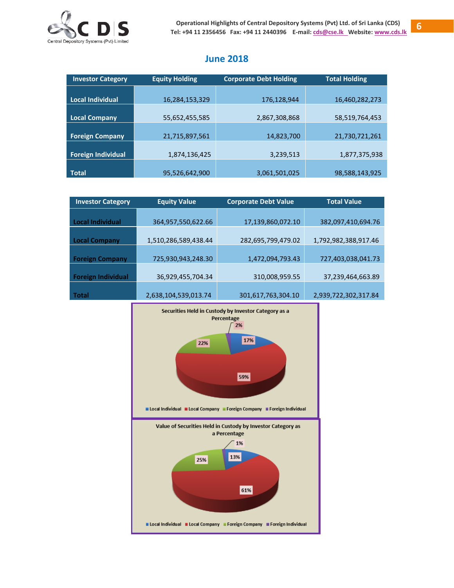

# **June 2018**

| <b>Investor Category</b>  | <b>Equity Holding</b> | <b>Corporate Debt Holding</b> | <b>Total Holding</b> |
|---------------------------|-----------------------|-------------------------------|----------------------|
|                           |                       |                               |                      |
| <b>Local Individual</b>   | 16,284,153,329        | 176,128,944                   | 16,460,282,273       |
|                           |                       |                               |                      |
| <b>Local Company</b>      | 55,652,455,585        | 2,867,308,868                 | 58,519,764,453       |
|                           |                       |                               |                      |
| <b>Foreign Company</b>    | 21,715,897,561        | 14,823,700                    | 21,730,721,261       |
|                           |                       |                               |                      |
| <b>Foreign Individual</b> | 1,874,136,425         | 3,239,513                     | 1,877,375,938        |
|                           |                       |                               |                      |
| <b>Total</b>              | 95,526,642,900        | 3,061,501,025                 | 98,588,143,925       |

| <b>Investor Category</b>  | <b>Equity Value</b>  | <b>Corporate Debt Value</b> | <b>Total Value</b>   |  |
|---------------------------|----------------------|-----------------------------|----------------------|--|
|                           |                      |                             |                      |  |
| <b>Local Individual</b>   | 364,957,550,622.66   | 17,139,860,072.10           | 382,097,410,694.76   |  |
|                           |                      |                             |                      |  |
| <b>Local Company</b>      | 1,510,286,589,438.44 | 282,695,799,479.02          | 1,792,982,388,917.46 |  |
|                           |                      |                             |                      |  |
| <b>Foreign Company</b>    | 725,930,943,248.30   | 1,472,094,793.43            | 727,403,038,041.73   |  |
|                           |                      |                             |                      |  |
| <b>Foreign Individual</b> | 36,929,455,704.34    | 310,008,959.55              | 37,239,464,663.89    |  |
|                           |                      |                             |                      |  |
| Total                     | 2,638,104,539,013.74 | 301,617,763,304.10          | 2,939,722,302,317.84 |  |

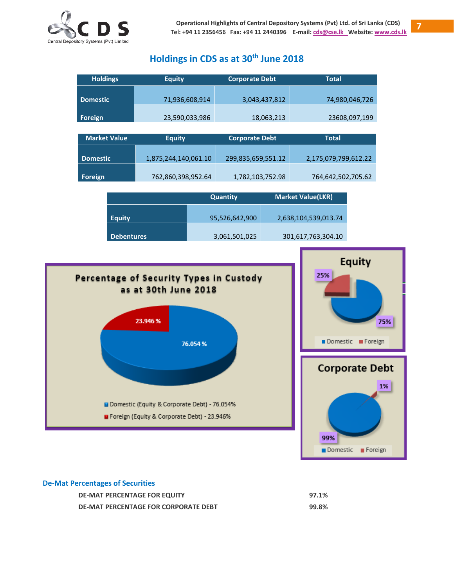

# **Holdings in CDS as at 30 th June 2018**

| <b>Holdings</b>     | <b>Equity</b>        | <b>Corporate Debt</b> | <b>Total</b>         |
|---------------------|----------------------|-----------------------|----------------------|
|                     |                      |                       |                      |
| <b>Domestic</b>     | 71,936,608,914       | 3,043,437,812         | 74,980,046,726       |
|                     |                      |                       |                      |
| Foreign             | 23,590,033,986       | 18,063,213            | 23608,097,199        |
|                     |                      |                       |                      |
| <b>Market Value</b> | <b>Equity</b>        | <b>Corporate Debt</b> | <b>Total</b>         |
|                     |                      |                       |                      |
| <b>Domestic</b>     | 1,875,244,140,061.10 | 299,835,659,551.12    | 2,175,079,799,612.22 |
|                     |                      |                       |                      |
| Foreign             | 762,860,398,952.64   | 1,782,103,752.98      | 764,642,502,705.62   |

|                   | <b>Quantity</b> | <b>Market Value(LKR)</b> |
|-------------------|-----------------|--------------------------|
| <b>Equity</b>     | 95,526,642,900  | 2,638,104,539,013.74     |
| <b>Debentures</b> | 3,061,501,025   | 301,617,763,304.10       |



#### **De-Mat Percentages of Securities**

| <b>DE-MAT PERCENTAGE FOR EQUITY</b>  | 97.1% |
|--------------------------------------|-------|
| DE-MAT PERCENTAGE FOR CORPORATE DEBT | 99.8% |